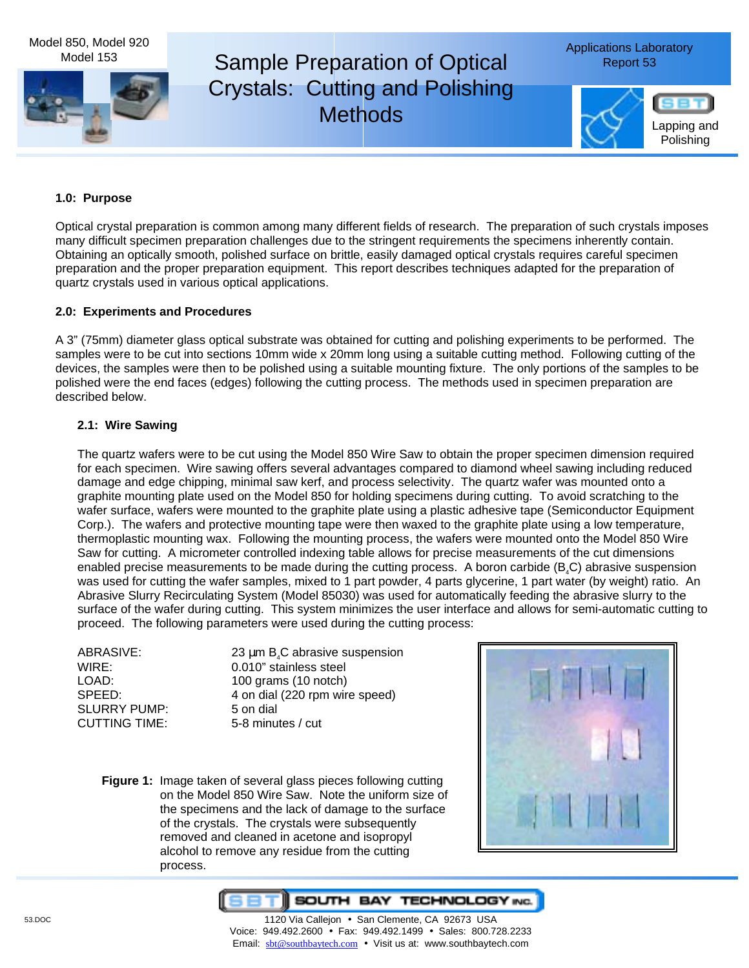Model 850, Model 920 Model 153

# Sample Preparation of Optical Report 53 Crystals: Cutting and Polishing **Methods**



# **1.0: Purpose**

Optical crystal preparation is common among many different fields of research. The preparation of such crystals imposes many difficult specimen preparation challenges due to the stringent requirements the specimens inherently contain. Obtaining an optically smooth, polished surface on brittle, easily damaged optical crystals requires careful specimen preparation and the proper preparation equipment. This report describes techniques adapted for the preparation of quartz crystals used in various optical applications.

## **2.0: Experiments and Procedures**

A 3" (75mm) diameter glass optical substrate was obtained for cutting and polishing experiments to be performed. The samples were to be cut into sections 10mm wide x 20mm long using a suitable cutting method. Following cutting of the devices, the samples were then to be polished using a suitable mounting fixture. The only portions of the samples to be polished were the end faces (edges) following the cutting process. The methods used in specimen preparation are described below.

# **2.1: Wire Sawing**

The quartz wafers were to be cut using the Model 850 Wire Saw to obtain the proper specimen dimension required for each specimen. Wire sawing offers several advantages compared to diamond wheel sawing including reduced damage and edge chipping, minimal saw kerf, and process selectivity. The quartz wafer was mounted onto a graphite mounting plate used on the Model 850 for holding specimens during cutting. To avoid scratching to the wafer surface, wafers were mounted to the graphite plate using a plastic adhesive tape (Semiconductor Equipment Corp.). The wafers and protective mounting tape were then waxed to the graphite plate using a low temperature, thermoplastic mounting wax. Following the mounting process, the wafers were mounted onto the Model 850 Wire Saw for cutting. A micrometer controlled indexing table allows for precise measurements of the cut dimensions enabled precise measurements to be made during the cutting process. A boron carbide (B<sub>a</sub>C) abrasive suspension was used for cutting the wafer samples, mixed to 1 part powder, 4 parts glycerine, 1 part water (by weight) ratio. An Abrasive Slurry Recirculating System (Model 85030) was used for automatically feeding the abrasive slurry to the surface of the wafer during cutting. This system minimizes the user interface and allows for semi-automatic cutting to proceed. The following parameters were used during the cutting process:

| ABRASIVE:            |                                                 |
|----------------------|-------------------------------------------------|
|                      | 23 $\mu$ m B <sub>4</sub> C abrasive suspension |
| WIRE:                | 0.010" stainless steel                          |
| LOAD:                | 100 grams (10 notch)                            |
| SPEED:               | 4 on dial (220 rpm wire speed)                  |
| SLURRY PUMP:         | 5 on dial                                       |
| <b>CUTTING TIME:</b> | 5-8 minutes / cut                               |
|                      |                                                 |

**Figure 1:** Image taken of several glass pieces following cutting on the Model 850 Wire Saw. Note the uniform size of the specimens and the lack of damage to the surface of the crystals. The crystals were subsequently removed and cleaned in acetone and isopropyl alcohol to remove any residue from the cutting process.



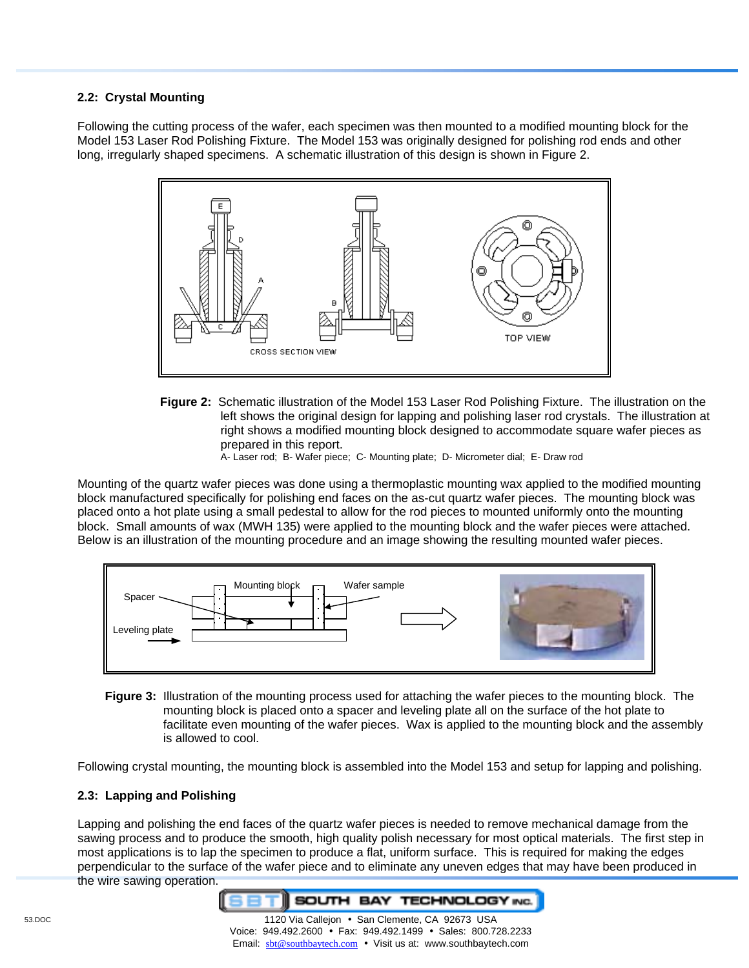## **2.2: Crystal Mounting**

Following the cutting process of the wafer, each specimen was then mounted to a modified mounting block for the Model 153 Laser Rod Polishing Fixture. The Model 153 was originally designed for polishing rod ends and other long, irregularly shaped specimens. A schematic illustration of this design is shown in Figure 2.



**Figure 2:** Schematic illustration of the Model 153 Laser Rod Polishing Fixture. The illustration on the left shows the original design for lapping and polishing laser rod crystals. The illustration at right shows a modified mounting block designed to accommodate square wafer pieces as prepared in this report.

A- Laser rod; B- Wafer piece; C- Mounting plate; D- Micrometer dial; E- Draw rod

Mounting of the quartz wafer pieces was done using a thermoplastic mounting wax applied to the modified mounting block manufactured specifically for polishing end faces on the as-cut quartz wafer pieces. The mounting block was placed onto a hot plate using a small pedestal to allow for the rod pieces to mounted uniformly onto the mounting block. Small amounts of wax (MWH 135) were applied to the mounting block and the wafer pieces were attached. Below is an illustration of the mounting procedure and an image showing the resulting mounted wafer pieces.



**Figure 3:** Illustration of the mounting process used for attaching the wafer pieces to the mounting block. The mounting block is placed onto a spacer and leveling plate all on the surface of the hot plate to facilitate even mounting of the wafer pieces. Wax is applied to the mounting block and the assembly is allowed to cool.

Following crystal mounting, the mounting block is assembled into the Model 153 and setup for lapping and polishing.

#### **2.3: Lapping and Polishing**

Lapping and polishing the end faces of the quartz wafer pieces is needed to remove mechanical damage from the sawing process and to produce the smooth, high quality polish necessary for most optical materials. The first step in most applications is to lap the specimen to produce a flat, uniform surface. This is required for making the edges perpendicular to the surface of the wafer piece and to eliminate any uneven edges that may have been produced in the wire sawing operation.

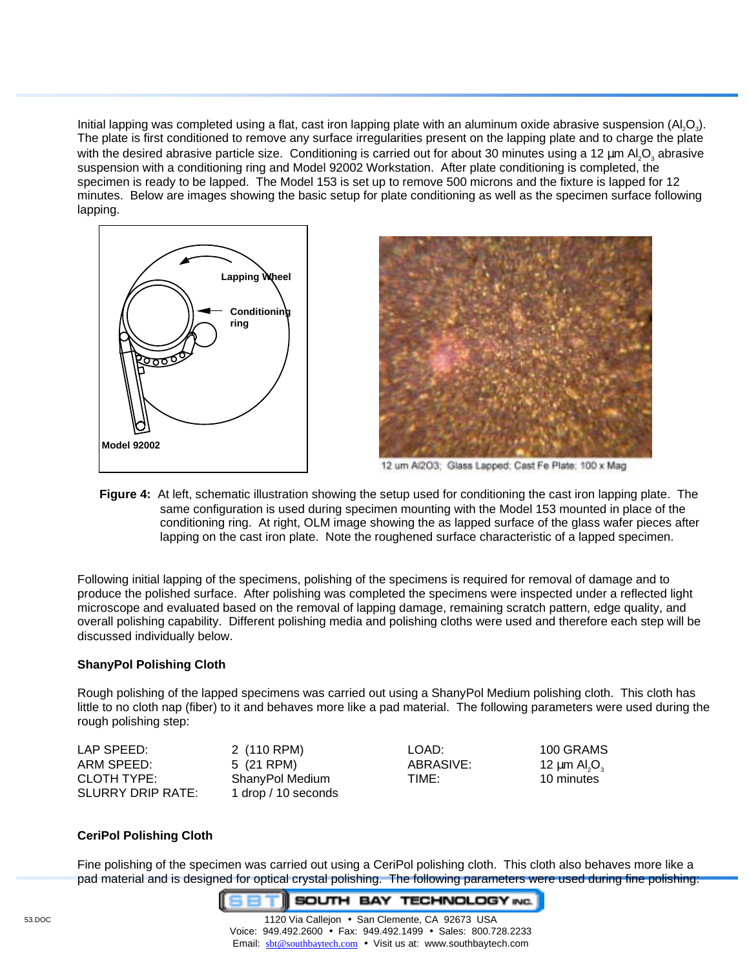Initial lapping was completed using a flat, cast iron lapping plate with an aluminum oxide abrasive suspension  $(A_1, O_3)$ . The plate is first conditioned to remove any surface irregularities present on the lapping plate and to charge the plate with the desired abrasive particle size. Conditioning is carried out for about 30 minutes using a 12  $\mu$ m Al<sub>3</sub>O<sub>3</sub> abrasive suspension with a conditioning ring and Model 92002 Workstation. After plate conditioning is completed, the specimen is ready to be lapped. The Model 153 is set up to remove 500 microns and the fixture is lapped for 12 minutes. Below are images showing the basic setup for plate conditioning as well as the specimen surface following lapping.



**Figure 4:** At left, schematic illustration showing the setup used for conditioning the cast iron lapping plate. The same configuration is used during specimen mounting with the Model 153 mounted in place of the conditioning ring. At right, OLM image showing the as lapped surface of the glass wafer pieces after lapping on the cast iron plate. Note the roughened surface characteristic of a lapped specimen.

Following initial lapping of the specimens, polishing of the specimens is required for removal of damage and to produce the polished surface. After polishing was completed the specimens were inspected under a reflected light microscope and evaluated based on the removal of lapping damage, remaining scratch pattern, edge quality, and overall polishing capability. Different polishing media and polishing cloths were used and therefore each step will be discussed individually below.

## **ShanyPol Polishing Cloth**

Rough polishing of the lapped specimens was carried out using a ShanyPol Medium polishing cloth. This cloth has little to no cloth nap (fiber) to it and behaves more like a pad material. The following parameters were used during the rough polishing step:

| LAP SPEED:        | 2 (110 RPM)         | LOAD:     | 100 GRAMS                                 |
|-------------------|---------------------|-----------|-------------------------------------------|
| ARM SPEED:        | 5 (21 RPM)          | ABRASIVE: | 12 $\mu$ m Al <sub>2</sub> O <sub>3</sub> |
| CLOTH TYPE:       | ShanyPol Medium     | TIME:     | 10 minutes                                |
| SLURRY DRIP RATE: | 1 drop / 10 seconds |           |                                           |

## **CeriPol Polishing Cloth**

Fine polishing of the specimen was carried out using a CeriPol polishing cloth. This cloth also behaves more like a pad material and is designed for optical crystal polishing. The following parameters were used during fine polishing:

**SOUTH BAY TECHNOLOGY INC.**